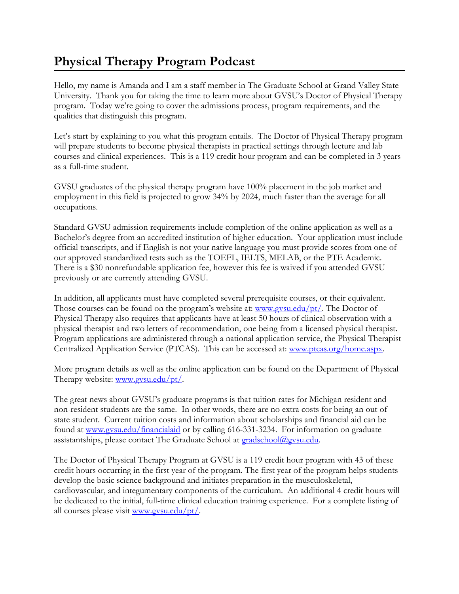## **Physical Therapy Program Podcast**

Hello, my name is Amanda and I am a staff member in The Graduate School at Grand Valley State University. Thank you for taking the time to learn more about GVSU's Doctor of Physical Therapy program. Today we're going to cover the admissions process, program requirements, and the qualities that distinguish this program.

Let's start by explaining to you what this program entails. The Doctor of Physical Therapy program will prepare students to become physical therapists in practical settings through lecture and lab courses and clinical experiences. This is a 119 credit hour program and can be completed in 3 years as a full-time student.

GVSU graduates of the physical therapy program have 100% placement in the job market and employment in this field is projected to grow 34% by 2024, much faster than the average for all occupations.

Standard GVSU admission requirements include completion of the online application as well as a Bachelor's degree from an accredited institution of higher education. Your application must include official transcripts, and if English is not your native language you must provide scores from one of our approved standardized tests such as the TOEFL, IELTS, MELAB, or the PTE Academic. There is a \$30 nonrefundable application fee, however this fee is waived if you attended GVSU previously or are currently attending GVSU.

In addition, all applicants must have completed several prerequisite courses, or their equivalent. Those courses can be found on the program's website at:  $\frac{www.gvsu.edu/pt}{n}$ . The Doctor of Physical Therapy also requires that applicants have at least 50 hours of clinical observation with a physical therapist and two letters of recommendation, one being from a licensed physical therapist. Program applications are administered through a national application service, the Physical Therapist Centralized Application Service (PTCAS). This can be accessed at: [www.ptcas.org/home.aspx.](http://www.ptcas.org/home.aspx)

More program details as well as the online application can be found on the Department of Physical Therapy website: www.gysu.edu/pt/.

The great news about GVSU's graduate programs is that tuition rates for Michigan resident and non-resident students are the same. In other words, there are no extra costs for being an out of state student. Current tuition costs and information about scholarships and financial aid can be found at [www.gvsu.edu/financialaid](http://www.gvsu.edu/financialaid) or by calling 616-331-3234. For information on graduate assistantships, please contact The Graduate School at **gradschool@gvsu.edu.** 

The Doctor of Physical Therapy Program at GVSU is a 119 credit hour program with 43 of these credit hours occurring in the first year of the program. The first year of the program helps students develop the basic science background and initiates preparation in the musculoskeletal, cardiovascular, and integumentary components of the curriculum. An additional 4 credit hours will be dedicated to the initial, full-time clinical education training experience. For a complete listing of all courses please visit [www.gvsu.edu/pt/.](http://www.gvsu.edu/pt/)